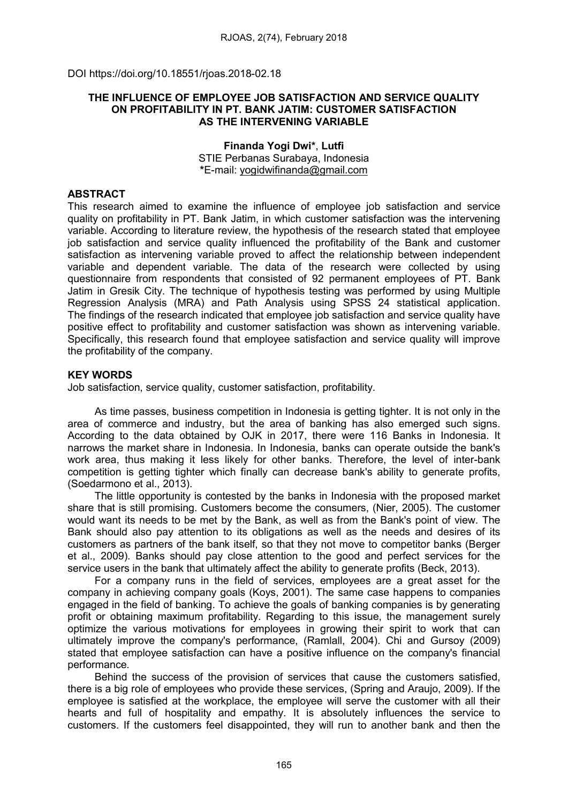DOI https://doi.org/10.18551/rjoas.2018-02.18

#### THE INFLUENCE OF EMPLOYEE JOB SATISFACTION AND SERVICE QUALITY ON PROFITABILITY IN PT. BANK JATIM: CUSTOMER SATISFACTION AS THE INTERVENING VARIABLE

Finanda Yogi Dwi\*, Lutfi STIE Perbanas Surabaya, Indonesia \*E-mail: [yogidwifinanda@gmail.com](mailto:yogidwifinanda@gmail.com)

### ABSTRACT

This research aimed to examine the influence of employee job satisfaction and service quality on profitability in PT. Bank Jatim, in which customer satisfaction was the intervening variable. According to literature review, the hypothesis of the research stated that employee iob satisfaction and service quality influenced the profitability of the Bank and customer satisfaction as intervening variable proved to affect the relationship between independent variable and dependent variable. The data of the research were collected by using questionnaire from respondents that consisted of 92 permanent employees of PT. Bank Jatim in Gresik City. The technique of hypothesis testing was performed by using Multiple Regression Analysis (MRA) and Path Analysis using SPSS 24 statistical application. The findings of the research indicated that employee job satisfaction and service quality have positive effect to profitability and customer satisfaction was shown as intervening variable. Specifically, this research found that employee satisfaction and service quality will improve the profitability of the company.

### KEY WORDS

Job satisfaction, service quality, customer satisfaction, profitability.

As time passes, business competition in Indonesia is getting tighter. It is not only in the area of commerce and industry, but the area of banking has also emerged such signs. According to the data obtained by OJK in 2017, there were 116 Banks in Indonesia. It narrows the market share in Indonesia. In Indonesia, banks can operate outside the bank's work area, thus making it less likely for other banks. Therefore, the level of inter-bank competition is getting tighter which finally can decrease bank's ability to generate profits, (Soedarmono et al., 2013).

The little opportunity is contested by the banks in Indonesia with the proposed market share that is still promising. Customers become the consumers, (Nier, 2005). The customer would want its needs to be met by the Bank, as well as from the Bank's point of view. The Bank should also pay attention to its obligations as well as the needs and desires of its customers as partners of the bank itself, so that they not move to competitor banks (Berger et al., 2009). Banks should pay close attention to the good and perfect services for the service users in the bank that ultimately affect the ability to generate profits (Beck, 2013).

For a company runs in the field of services, employees are a great asset for the company in achieving company goals (Koys, 2001). The same case happens to companies engaged in the field of banking. To achieve the goals of banking companies is by generating profit or obtaining maximum profitability. Regarding to this issue, the management surely optimize the various motivations for employees in growing their spirit to work that can ultimately improve the company's performance, (Ramlall, 2004). Chi and Gursoy (2009) stated that employee satisfaction can have a positive influence on the company's financial performance.

Behind the success of the provision of services that cause the customers satisfied, there is a big role of employees who provide these services, (Spring and Araujo, 2009). If the employee is satisfied at the workplace, the employee will serve the customer with all their hearts and full of hospitality and empathy. It is absolutely influences the service to customers. If the customers feel disappointed, they will run to another bank and then the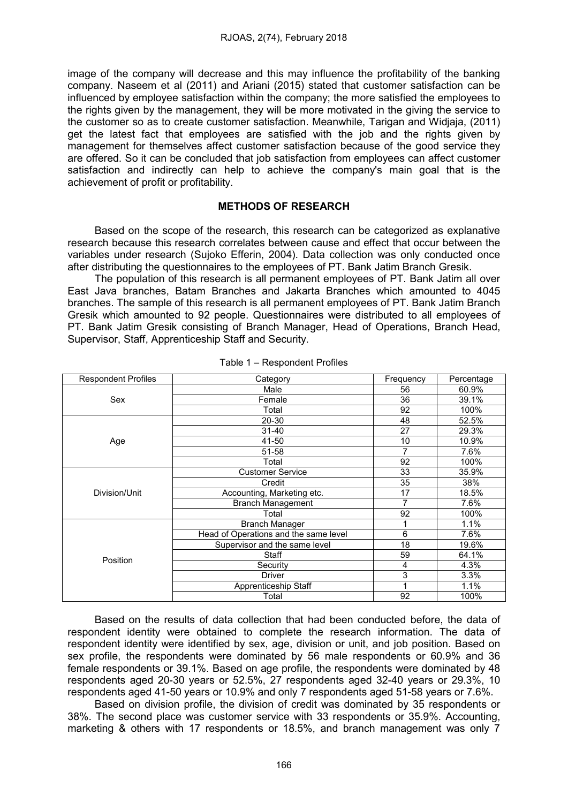image of the company will decrease and this may influence the profitability of the banking company. Naseem et al (2011) and Ariani (2015) stated that customer satisfaction can be influenced by employee satisfaction within the company; the more satisfied the employees to the rights given by the management, they will be more motivated in the giving the service to the customer so as to create customer satisfaction. Meanwhile, Tarigan and Widjaja, (2011) get the latest fact that employees are satisfied with the job and the rights given by management for themselves affect customer satisfaction because of the good service they are offered. So it can be concluded that job satisfaction from employees can affect customer satisfaction and indirectly can help to achieve the company's main goal that is the achievement of profit or profitability.

#### METHODS OF RESEARCH

Based on the scope of the research, this research can be categorized as explanative research because this research correlates between cause and effect that occur between the variables under research (Sujoko Efferin, 2004). Data collection was only conducted once after distributing the questionnaires to the employees of PT. Bank Jatim Branch Gresik.

The population of this research is all permanent employees of PT. Bank Jatim all over East Java branches, Batam Branches and Jakarta Branches which amounted to 4045 branches. The sample of this research is all permanent employees of PT. Bank Jatim Branch Gresik which amounted to 92 people. Questionnaires were distributed to all employees of PT. Bank Jatim Gresik consisting of Branch Manager, Head of Operations, Branch Head, Supervisor, Staff, Apprenticeship Staff and Security.

| <b>Respondent Profiles</b> | Category                              | Frequency | Percentage |  |
|----------------------------|---------------------------------------|-----------|------------|--|
|                            | Male                                  | 56        | 60.9%      |  |
| Sex                        | Female                                | 36        | 39.1%      |  |
|                            | Total                                 | 92        | 100%       |  |
|                            | 20-30                                 | 48        | 52.5%      |  |
|                            | $31 - 40$                             | 27        | 29.3%      |  |
| Age                        | 41-50                                 | 10        | 10.9%      |  |
|                            | 51-58                                 | 7         | 7.6%       |  |
|                            | Total                                 | 92        | 100%       |  |
|                            | <b>Customer Service</b>               | 33        | 35.9%      |  |
|                            | Credit                                | 35        | 38%        |  |
| Division/Unit              | Accounting, Marketing etc.            | 17        | 18.5%      |  |
|                            | <b>Branch Management</b>              | 7         | 7.6%       |  |
|                            | Total                                 | 92        | 100%       |  |
|                            | <b>Branch Manager</b>                 |           | 1.1%       |  |
|                            | Head of Operations and the same level | 6         | 7.6%       |  |
|                            | Supervisor and the same level         | 18        | 19.6%      |  |
| Position                   | Staff                                 | 59        | 64.1%      |  |
|                            | Security                              | 4         | 4.3%       |  |
|                            | <b>Driver</b>                         | 3         | 3.3%       |  |
|                            | Apprenticeship Staff                  |           | 1.1%       |  |
|                            | Total                                 | 92        | 100%       |  |

Table 1 – Respondent Profiles

Based on the results of data collection that had been conducted before, the data of respondent identity were obtained to complete the research information. The data of respondent identity were identified by sex, age, division or unit, and job position. Based on sex profile, the respondents were dominated by 56 male respondents or 60.9% and 36 female respondents or 39.1%. Based on age profile, the respondents were dominated by 48 respondents aged 20-30 years or 52.5%, 27 respondents aged 32-40 years or 29.3%, 10 respondents aged 41-50 years or 10.9% and only 7 respondents aged 51-58 years or 7.6%.

Based on division profile, the division of credit was dominated by 35 respondents or 38%. The second place was customer service with 33 respondents or 35.9%. Accounting, marketing & others with 17 respondents or 18.5%, and branch management was only 7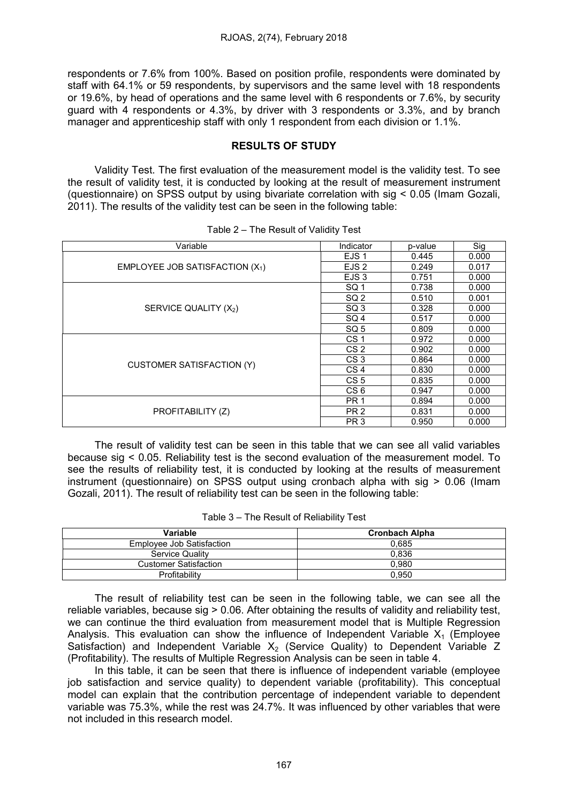respondents or 7.6% from 100%. Based on position profile, respondents were dominated by staff with 64.1% or 59 respondents, by supervisors and the same level with 18 respondents or 19.6%, by head of operations and the same level with 6 respondents or 7.6%, by security guard with 4 respondents or 4.3%, by driver with 3 respondents or 3.3%, and by branch manager and apprenticeship staff with only 1 respondent from each division or 1.1%.

# RESULTS OF STUDY

Validity Test. The first evaluation of the measurement model is the validity test. To see the result of validity test, it is conducted by looking at the result of measurement instrument (questionnaire) on SPSS output by using bivariate correlation with sig < 0.05 (Imam Gozali, 2011). The results of the validity test can be seen in the following table:

| Variable                          | Indicator        | p-value | Sig   |
|-----------------------------------|------------------|---------|-------|
|                                   | EJS 1            | 0.445   | 0.000 |
| EMPLOYEE JOB SATISFACTION $(X_1)$ | EJS <sub>2</sub> | 0.249   | 0.017 |
|                                   | EJS <sub>3</sub> | 0.751   | 0.000 |
|                                   | SQ 1             | 0.738   | 0.000 |
|                                   | SQ <sub>2</sub>  | 0.510   | 0.001 |
| SERVICE QUALITY (X2)              | SQ <sub>3</sub>  | 0.328   | 0.000 |
|                                   | SQ <sub>4</sub>  | 0.517   | 0.000 |
|                                   | SQ 5             | 0.809   | 0.000 |
|                                   | CS <sub>1</sub>  | 0.972   | 0.000 |
|                                   | CS <sub>2</sub>  | 0.902   | 0.000 |
| <b>CUSTOMER SATISFACTION (Y)</b>  | CS <sub>3</sub>  | 0.864   | 0.000 |
|                                   | CS <sub>4</sub>  | 0.830   | 0.000 |
|                                   | CS <sub>5</sub>  | 0.835   | 0.000 |
|                                   | CS <sub>6</sub>  | 0.947   | 0.000 |
|                                   | PR <sub>1</sub>  | 0.894   | 0.000 |
| PROFITABILITY (Z)                 | PR <sub>2</sub>  | 0.831   | 0.000 |
|                                   | PR <sub>3</sub>  | 0.950   | 0.000 |

Table 2 – The Result of Validity Test

The result of validity test can be seen in this table that we can see all valid variables because sig < 0.05. Reliability test is the second evaluation of the measurement model. To see the results of reliability test, it is conducted by looking at the results of measurement instrument (questionnaire) on SPSS output using cronbach alpha with sig > 0.06 (Imam Gozali, 2011). The result of reliability test can be seen in the following table:

|  | Table 3 – The Result of Reliability Test |  |
|--|------------------------------------------|--|
|--|------------------------------------------|--|

| Variable                     | <b>Cronbach Alpha</b> |
|------------------------------|-----------------------|
| Employee Job Satisfaction    | 0.685                 |
| <b>Service Quality</b>       | 0.836                 |
| <b>Customer Satisfaction</b> | 0.980                 |
| Profitability                | 0.950                 |

The result of reliability test can be seen in the following table, we can see all the reliable variables, because sig > 0.06. After obtaining the results of validity and reliability test, we can continue the third evaluation from measurement model that is Multiple Regression Analysis. This evaluation can show the influence of Independent Variable  $X_1$  (Employee Satisfaction) and Independent Variable  $X<sub>2</sub>$  (Service Quality) to Dependent Variable Z (Profitability). The results of Multiple Regression Analysis can be seen in table 4.

In this table, it can be seen that there is influence of independent variable (employee job satisfaction and service quality) to dependent variable (profitability). This conceptual model can explain that the contribution percentage of independent variable to dependent variable was 75.3%, while the rest was 24.7%. It was influenced by other variables that were not included in this research model.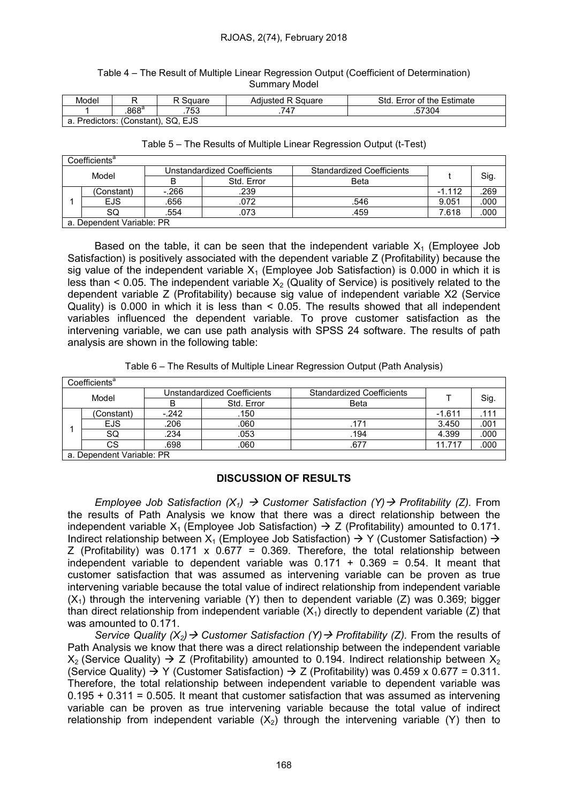#### Table 4 – The Result of Multiple Linear Regression Output (Coefficient of Determination) Summary Model

| Model                                                   |               | ڪαuare | <b>Adiusted R Square</b> | Std.<br>Error of the Estimate |  |  |
|---------------------------------------------------------|---------------|--------|--------------------------|-------------------------------|--|--|
|                                                         | $868^{\circ}$ | .753   | 747                      | .57304                        |  |  |
| SQ.<br><b>EJS</b><br>a. Predictors: (Constant), S<br>а. |               |        |                          |                               |  |  |

| Table 5 – The Results of Multiple Linear Regression Output (t-Test) |  |  |  |
|---------------------------------------------------------------------|--|--|--|
|---------------------------------------------------------------------|--|--|--|

| Coefficients <sup>a</sup> |            |                             |            |                                  |          |      |  |
|---------------------------|------------|-----------------------------|------------|----------------------------------|----------|------|--|
| Model                     |            | Unstandardized Coefficients |            | <b>Standardized Coefficients</b> |          |      |  |
|                           |            | B                           | Std. Error | Beta                             |          | Sig. |  |
|                           | 'Constant) | $-266$                      | .239       |                                  | $-1.112$ | 269  |  |
|                           | <b>EJS</b> | .656                        | .072       | .546                             | 9.051    | .000 |  |
|                           | SQ         | .554                        | .073       | .459                             | 7.618    | .000 |  |
| a. Dependent Variable: PR |            |                             |            |                                  |          |      |  |

Based on the table, it can be seen that the independent variable  $X_1$  (Employee Job Satisfaction) is positively associated with the dependent variable Z (Profitability) because the sig value of the independent variable  $X_1$  (Employee Job Satisfaction) is 0.000 in which it is less than  $\leq$  0.05. The independent variable  $X_2$  (Quality of Service) is positively related to the dependent variable Z (Profitability) because sig value of independent variable X2 (Service Quality) is 0.000 in which it is less than < 0.05. The results showed that all independent variables influenced the dependent variable. To prove customer satisfaction as the intervening variable, we can use path analysis with SPSS 24 software. The results of path analysis are shown in the following table:

|                           | Coefficients <sup>a</sup> |                             |            |                                  |          |      |
|---------------------------|---------------------------|-----------------------------|------------|----------------------------------|----------|------|
| Model                     |                           | Unstandardized Coefficients |            | <b>Standardized Coefficients</b> |          |      |
|                           |                           | В                           | Std. Error | <b>Beta</b>                      |          | Sig. |
|                           | (Constant)                | $-242$                      | .150       |                                  | $-1.611$ | 111  |
|                           | <b>EJS</b>                | .206                        | .060       | 171                              | 3.450    | .001 |
|                           | SQ                        | .234                        | .053       | 194                              | 4.399    | .000 |
|                           | СS                        | .698                        | .060       | .677                             | 11.717   | .000 |
| a. Dependent Variable: PR |                           |                             |            |                                  |          |      |

a. Dependent Variable: PR

# DISCUSSION OF RESULTS

Employee Job Satisfaction  $(X_1) \rightarrow$  Customer Satisfaction  $(Y) \rightarrow$  Profitability (Z). From the results of Path Analysis we know that there was a direct relationship between the independent variable  $X_1$  (Employee Job Satisfaction)  $\rightarrow$  Z (Profitability) amounted to 0.171. Indirect relationship between  $X_1$  (Employee Job Satisfaction)  $\rightarrow$  Y (Customer Satisfaction)  $\rightarrow$ Z (Profitability) was  $0.171 \times 0.677 = 0.369$ . Therefore, the total relationship between independent variable to dependent variable was  $0.171 + 0.369 = 0.54$ . It meant that customer satisfaction that was assumed as intervening variable can be proven as true intervening variable because the total value of indirect relationship from independent variable  $(X<sub>1</sub>)$  through the intervening variable (Y) then to dependent variable (Z) was 0.369; bigger than direct relationship from independent variable  $(X_1)$  directly to dependent variable (Z) that was amounted to 0.171.

Service Quality  $(X_2) \rightarrow$  Customer Satisfaction  $(Y) \rightarrow$  Profitability (Z). From the results of Path Analysis we know that there was a direct relationship between the independent variable  $X_2$  (Service Quality)  $\rightarrow$  Z (Profitability) amounted to 0.194. Indirect relationship between  $X_2$ (Service Quality)  $\rightarrow$  Y (Customer Satisfaction)  $\rightarrow$  Z (Profitability) was 0.459 x 0.677 = 0.311. Therefore, the total relationship between independent variable to dependent variable was  $0.195 + 0.311 = 0.505$ . It meant that customer satisfaction that was assumed as intervening variable can be proven as true intervening variable because the total value of indirect relationship from independent variable  $(X<sub>2</sub>)$  through the intervening variable (Y) then to